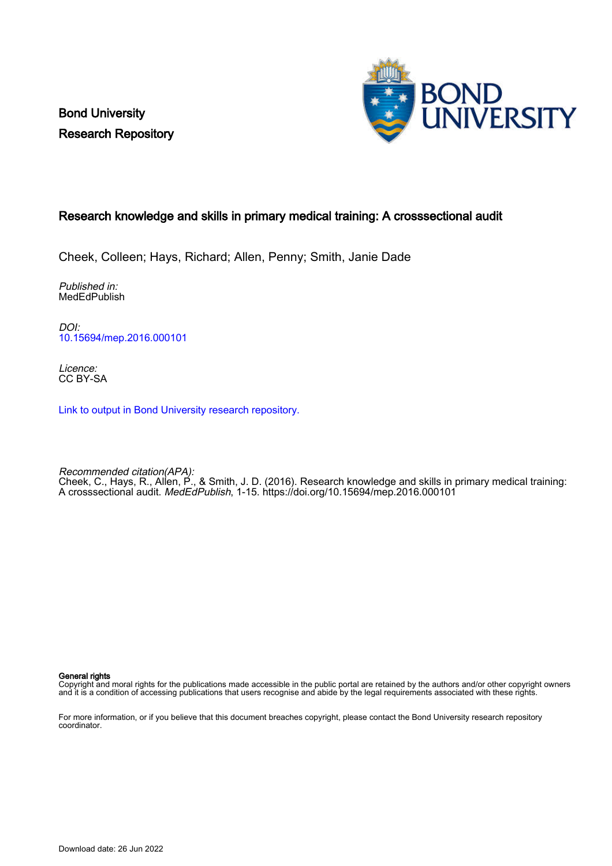Bond University Research Repository



# Research knowledge and skills in primary medical training: A crosssectional audit

Cheek, Colleen; Hays, Richard; Allen, Penny; Smith, Janie Dade

Published in: MedEdPublish

DOI: [10.15694/mep.2016.000101](https://doi.org/10.15694/mep.2016.000101)

Licence: CC BY-SA

[Link to output in Bond University research repository.](https://research.bond.edu.au/en/publications/9210e4bc-babf-401c-b724-28008510a115)

Recommended citation(APA): Cheek, C., Hays, R., Allen, P., & Smith, J. D. (2016). Research knowledge and skills in primary medical training: A crosssectional audit. MedEdPublish, 1-15.<https://doi.org/10.15694/mep.2016.000101>

General rights

Copyright and moral rights for the publications made accessible in the public portal are retained by the authors and/or other copyright owners and it is a condition of accessing publications that users recognise and abide by the legal requirements associated with these rights.

For more information, or if you believe that this document breaches copyright, please contact the Bond University research repository coordinator.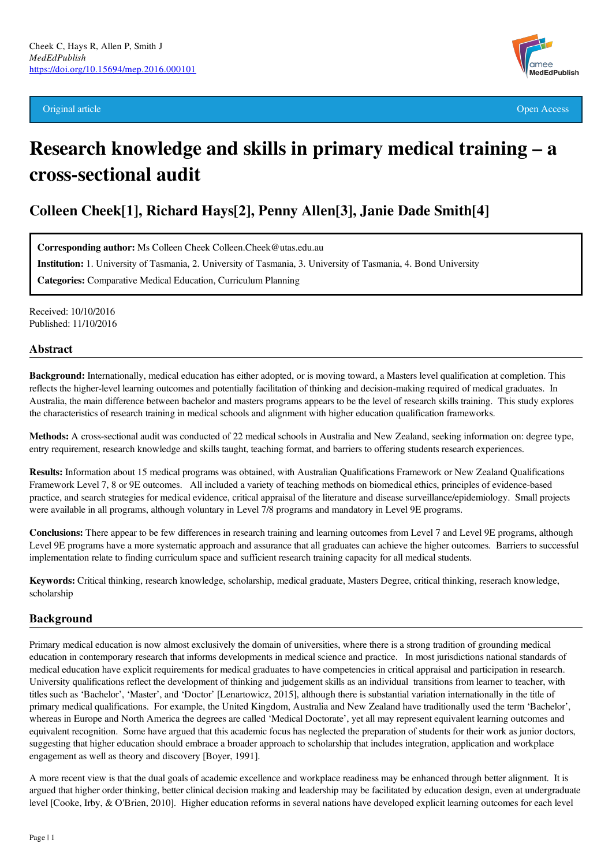Original article Open Access



# Research knowledge and skills in primary medical training – a cross-sectional audit

# Colleen Cheek[1], Richard Hays[2], Penny Allen[3], Janie Dade Smith[4]

Corresponding author: Ms Colleen Cheek Colleen.Cheek@utas.edu.au

Institution: 1. University of Tasmania, 2. University of Tasmania, 3. University of Tasmania, 4. Bond University

Categories: Comparative Medical Education, Curriculum Planning

Received: 10/10/2016 Published: 11/10/2016

#### Abstract

Background: Internationally, medical education has either adopted, or is moving toward, a Masters level qualification at completion. This reflects the higher-level learning outcomes and potentially facilitation of thinking and decision-making required of medical graduates. In Australia, the main difference between bachelor and masters programs appears to be the level of research skills training. This study explores the characteristics of research training in medical schools and alignment with higher education qualification frameworks.

Methods: A cross-sectional audit was conducted of 22 medical schools in Australia and New Zealand, seeking information on: degree type, entry requirement, research knowledge and skills taught, teaching format, and barriers to offering students research experiences.

Results: Information about 15 medical programs was obtained, with Australian Qualifications Framework or New Zealand Qualifications Framework Level 7, 8 or 9E outcomes. All included a variety of teaching methods on biomedical ethics, principles of evidence-based practice, and search strategies for medical evidence, critical appraisal of the literature and disease surveillance/epidemiology. Small projects were available in all programs, although voluntary in Level 7/8 programs and mandatory in Level 9E programs.

Conclusions: There appear to be few differences in research training and learning outcomes from Level 7 and Level 9E programs, although Level 9E programs have a more systematic approach and assurance that all graduates can achieve the higher outcomes. Barriers to successful implementation relate to finding curriculum space and sufficient research training capacity for all medical students.

Keywords: Critical thinking, research knowledge, scholarship, medical graduate, Masters Degree, critical thinking, reserach knowledge, scholarship

# Background

Primary medical education is now almost exclusively the domain of universities, where there is a strong tradition of grounding medical education in contemporary research that informs developments in medical science and practice. In most jurisdictions national standards of medical education have explicit requirements for medical graduates to have competencies in critical appraisal and participation in research. University qualifications reflect the development of thinking and judgement skills as an individual transitions from learner to teacher, with titles such as 'Bachelor', 'Master', and 'Doctor' [Lenartowicz, 2015], although there is substantial variation internationally in the title of primary medical qualifications. For example, the United Kingdom, Australia and New Zealand have traditionally used the term 'Bachelor', whereas in Europe and North America the degrees are called 'Medical Doctorate', yet all may represent equivalent learning outcomes and equivalent recognition. Some have argued that this academic focus has neglected the preparation of students for their work as junior doctors, suggesting that higher education should embrace a broader approach to scholarship that includes integration, application and workplace engagement as well as theory and discovery [Boyer, 1991].

A more recent view is that the dual goals of academic excellence and workplace readiness may be enhanced through better alignment. It is argued that higher order thinking, better clinical decision making and leadership may be facilitated by education design, even at undergraduate level [Cooke, Irby, & O'Brien, 2010]. Higher education reforms in several nations have developed explicit learning outcomes for each level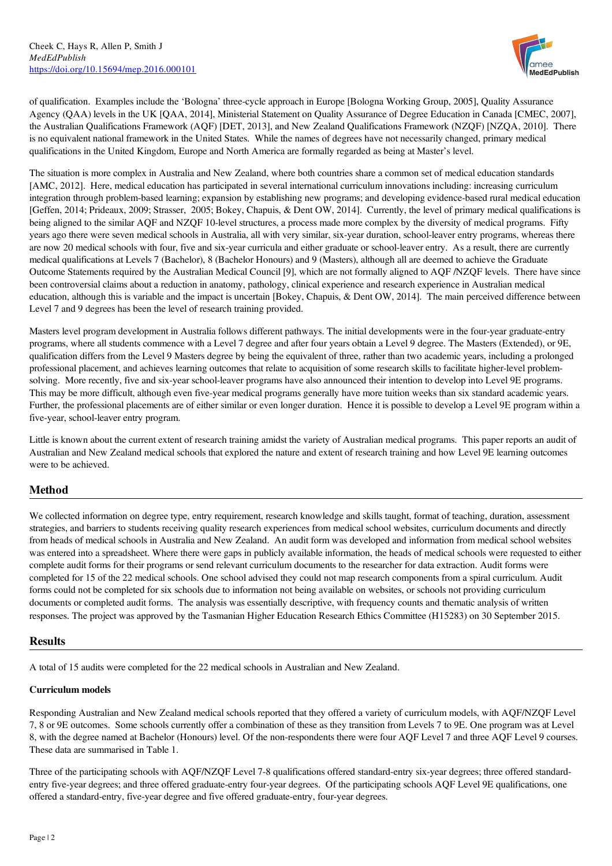

of qualification. Examples include the 'Bologna' three-cycle approach in Europe [Bologna Working Group, 2005], Quality Assurance Agency (QAA) levels in the UK [QAA, 2014], Ministerial Statement on Quality Assurance of Degree Education in Canada [CMEC, 2007], the Australian Qualifications Framework (AQF) [DET, 2013], and New Zealand Qualifications Framework (NZQF) [NZQA, 2010]. There is no equivalent national framework in the United States. While the names of degrees have not necessarily changed, primary medical qualifications in the United Kingdom, Europe and North America are formally regarded as being at Master's level.

The situation is more complex in Australia and New Zealand, where both countries share a common set of medical education standards [AMC, 2012]. Here, medical education has participated in several international curriculum innovations including: increasing curriculum integration through problem-based learning; expansion by establishing new programs; and developing evidence-based rural medical education [Geffen, 2014; Prideaux, 2009; Strasser, 2005; Bokey, Chapuis, & Dent OW, 2014]. Currently, the level of primary medical qualifications is being aligned to the similar AQF and NZQF 10-level structures, a process made more complex by the diversity of medical programs. Fifty years ago there were seven medical schools in Australia, all with very similar, six-year duration, school-leaver entry programs, whereas there are now 20 medical schools with four, five and six-year curricula and either graduate or school-leaver entry. As a result, there are currently medical qualifications at Levels 7 (Bachelor), 8 (Bachelor Honours) and 9 (Masters), although all are deemed to achieve the Graduate Outcome Statements required by the Australian Medical Council [9], which are not formally aligned to AQF /NZQF levels. There have since been controversial claims about a reduction in anatomy, pathology, clinical experience and research experience in Australian medical education, although this is variable and the impact is uncertain [Bokey, Chapuis, & Dent OW, 2014]. The main perceived difference between Level 7 and 9 degrees has been the level of research training provided.

Masters level program development in Australia follows different pathways. The initial developments were in the four-year graduate-entry programs, where all students commence with a Level 7 degree and after four years obtain a Level 9 degree. The Masters (Extended), or 9E, qualification differs from the Level 9 Masters degree by being the equivalent of three, rather than two academic years, including a prolonged professional placement, and achieves learning outcomes that relate to acquisition of some research skills to facilitate higher-level problemsolving. More recently, five and six-year school-leaver programs have also announced their intention to develop into Level 9E programs. This may be more difficult, although even five-year medical programs generally have more tuition weeks than six standard academic years. Further, the professional placements are of either similar or even longer duration. Hence it is possible to develop a Level 9E program within a five-year, school-leaver entry program.

Little is known about the current extent of research training amidst the variety of Australian medical programs. This paper reports an audit of Australian and New Zealand medical schools that explored the nature and extent of research training and how Level 9E learning outcomes were to be achieved.

# Method

We collected information on degree type, entry requirement, research knowledge and skills taught, format of teaching, duration, assessment strategies, and barriers to students receiving quality research experiences from medical school websites, curriculum documents and directly from heads of medical schools in Australia and New Zealand. An audit form was developed and information from medical school websites was entered into a spreadsheet. Where there were gaps in publicly available information, the heads of medical schools were requested to either complete audit forms for their programs or send relevant curriculum documents to the researcher for data extraction. Audit forms were completed for 15 of the 22 medical schools. One school advised they could not map research components from a spiral curriculum. Audit forms could not be completed for six schools due to information not being available on websites, or schools not providing curriculum documents or completed audit forms. The analysis was essentially descriptive, with frequency counts and thematic analysis of written responses. The project was approved by the Tasmanian Higher Education Research Ethics Committee (H15283) on 30 September 2015.

#### **Results**

A total of 15 audits were completed for the 22 medical schools in Australian and New Zealand.

#### Curriculum models

Responding Australian and New Zealand medical schools reported that they offered a variety of curriculum models, with AQF/NZQF Level 7, 8 or 9E outcomes. Some schools currently offer a combination of these as they transition from Levels 7 to 9E. One program was at Level 8, with the degree named at Bachelor (Honours) level. Of the non-respondents there were four AQF Level 7 and three AQF Level 9 courses. These data are summarised in Table 1.

Three of the participating schools with AQF/NZQF Level 7-8 qualifications offered standard-entry six-year degrees; three offered standardentry five-year degrees; and three offered graduate-entry four-year degrees. Of the participating schools AQF Level 9E qualifications, one offered a standard-entry, five-year degree and five offered graduate-entry, four-year degrees.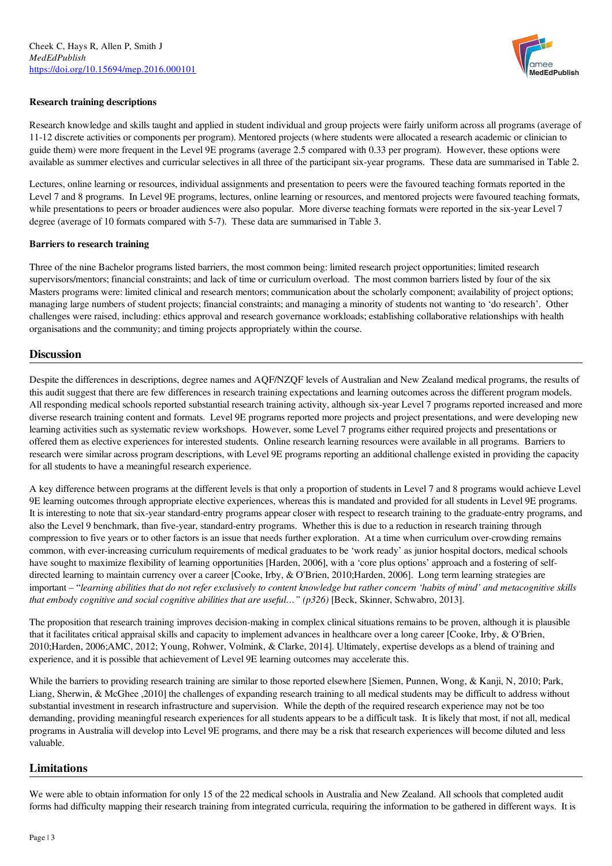

#### Research training descriptions

Research knowledge and skills taught and applied in student individual and group projects were fairly uniform across all programs (average of 11-12 discrete activities or components per program). Mentored projects (where students were allocated a research academic or clinician to guide them) were more frequent in the Level 9E programs (average 2.5 compared with 0.33 per program). However, these options were available as summer electives and curricular selectives in all three of the participant six-year programs. These data are summarised in Table 2.

Lectures, online learning or resources, individual assignments and presentation to peers were the favoured teaching formats reported in the Level 7 and 8 programs. In Level 9E programs, lectures, online learning or resources, and mentored projects were favoured teaching formats, while presentations to peers or broader audiences were also popular. More diverse teaching formats were reported in the six-year Level 7 degree (average of 10 formats compared with 5-7). These data are summarised in Table 3.

#### Barriers to research training

Three of the nine Bachelor programs listed barriers, the most common being: limited research project opportunities; limited research supervisors/mentors; financial constraints; and lack of time or curriculum overload. The most common barriers listed by four of the six Masters programs were: limited clinical and research mentors; communication about the scholarly component; availability of project options; managing large numbers of student projects; financial constraints; and managing a minority of students not wanting to 'do research'. Other challenges were raised, including: ethics approval and research governance workloads; establishing collaborative relationships with health organisations and the community; and timing projects appropriately within the course.

#### **Discussion**

Despite the differences in descriptions, degree names and AQF/NZQF levels of Australian and New Zealand medical programs, the results of this audit suggest that there are few differences in research training expectations and learning outcomes across the different program models. All responding medical schools reported substantial research training activity, although six-year Level 7 programs reported increased and more diverse research training content and formats. Level 9E programs reported more projects and project presentations, and were developing new learning activities such as systematic review workshops. However, some Level 7 programs either required projects and presentations or offered them as elective experiences for interested students. Online research learning resources were available in all programs. Barriers to research were similar across program descriptions, with Level 9E programs reporting an additional challenge existed in providing the capacity for all students to have a meaningful research experience.

A key difference between programs at the different levels is that only a proportion of students in Level 7 and 8 programs would achieve Level 9E learning outcomes through appropriate elective experiences, whereas this is mandated and provided for all students in Level 9E programs. It is interesting to note that six-year standard-entry programs appear closer with respect to research training to the graduate-entry programs, and also the Level 9 benchmark, than five-year, standard-entry programs. Whether this is due to a reduction in research training through compression to five years or to other factors is an issue that needs further exploration. At a time when curriculum over-crowding remains common, with ever-increasing curriculum requirements of medical graduates to be 'work ready' as junior hospital doctors, medical schools have sought to maximize flexibility of learning opportunities [Harden, 2006], with a 'core plus options' approach and a fostering of selfdirected learning to maintain currency over a career [Cooke, Irby, & O'Brien, 2010;Harden, 2006]. Long term learning strategies are important - "learning abilities that do not refer exclusively to content knowledge but rather concern 'habits of mind' and metacognitive skills *that embody cognitive and social cognitive abilities that are useful…" (p326)* [Beck, Skinner, Schwabro, 2013].

The proposition that research training improves decision-making in complex clinical situations remains to be proven, although it is plausible that it facilitates critical appraisal skills and capacity to implement advances in healthcare over a long career [Cooke, Irby, & O'Brien, 2010;Harden, 2006;AMC, 2012; Young, Rohwer, Volmink, & Clarke, 2014]. Ultimately, expertise develops as a blend of training and experience, and it is possible that achievement of Level 9E learning outcomes may accelerate this.

While the barriers to providing research training are similar to those reported elsewhere [Siemen, Punnen, Wong, & Kanji, N, 2010; Park, Liang, Sherwin, & McGhee ,2010] the challenges of expanding research training to all medical students may be difficult to address without substantial investment in research infrastructure and supervision. While the depth of the required research experience may not be too demanding, providing meaningful research experiences for all students appears to be a difficult task. It is likely that most, if not all, medical programs in Australia will develop into Level 9E programs, and there may be a risk that research experiences will become diluted and less valuable.

#### Limitations

We were able to obtain information for only 15 of the 22 medical schools in Australia and New Zealand. All schools that completed audit forms had difficulty mapping their research training from integrated curricula, requiring the information to be gathered in different ways. It is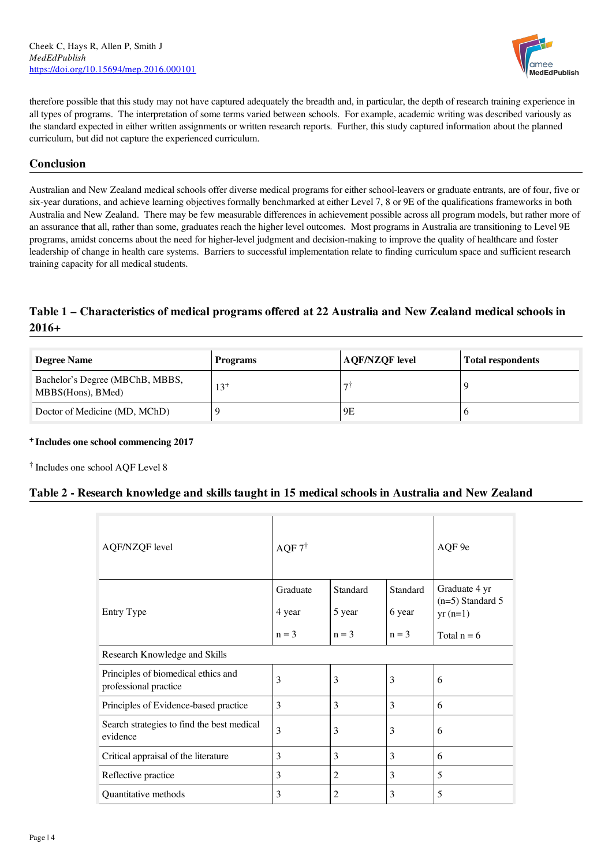

therefore possible that this study may not have captured adequately the breadth and, in particular, the depth of research training experience in all types of programs. The interpretation of some terms varied between schools. For example, academic writing was described variously as the standard expected in either written assignments or written research reports. Further, this study captured information about the planned curriculum, but did not capture the experienced curriculum.

# **Conclusion**

Australian and New Zealand medical schools offer diverse medical programs for either school-leavers or graduate entrants, are of four, five or six-year durations, and achieve learning objectives formally benchmarked at either Level 7, 8 or 9E of the qualifications frameworks in both Australia and New Zealand. There may be few measurable differences in achievement possible across all program models, but rather more of an assurance that all, rather than some, graduates reach the higher level outcomes. Most programs in Australia are transitioning to Level 9E programs, amidst concerns about the need for higher-level judgment and decision-making to improve the quality of healthcare and foster leadership of change in health care systems. Barriers to successful implementation relate to finding curriculum space and sufficient research training capacity for all medical students.

# Table 1 – Characteristics of medical programs offered at 22 Australia and New Zealand medical schools in 2016+

| <b>Degree Name</b>                                   | <b>Programs</b> | <b>AQF/NZQF</b> level | <b>Total respondents</b> |
|------------------------------------------------------|-----------------|-----------------------|--------------------------|
| Bachelor's Degree (MBChB, MBBS,<br>MBBS(Hons), BMed) | $13^{+}$        | -                     |                          |
| Doctor of Medicine (MD, MChD)                        |                 | 9E                    |                          |

#### + Includes one school commencing 2017

† Includes one school AQF Level 8

# Table 2 - Research knowledge and skills taught in 15 medical schools in Australia and New Zealand

| <b>AQF/NZQF</b> level                                        | AQF $7^{\dagger}$  |                    |                    | AQF 9e                                           |
|--------------------------------------------------------------|--------------------|--------------------|--------------------|--------------------------------------------------|
| Entry Type                                                   | Graduate<br>4 year | Standard<br>5 year | Standard<br>6 year | Graduate 4 yr<br>$(n=5)$ Standard 5<br>$yr(n=1)$ |
|                                                              | $n = 3$            | $n = 3$            | $n = 3$            | Total $n = 6$                                    |
| Research Knowledge and Skills                                |                    |                    |                    |                                                  |
| Principles of biomedical ethics and<br>professional practice | 3                  | 3                  | 3                  | 6                                                |
| Principles of Evidence-based practice                        | 3                  | 3                  | 3                  | 6                                                |
| Search strategies to find the best medical<br>evidence       | 3                  | 3                  | 3                  | 6                                                |
| Critical appraisal of the literature                         | 3                  | 3                  | 3                  | 6                                                |
| Reflective practice                                          | 3                  | $\overline{2}$     | 3                  | 5                                                |
| Quantitative methods                                         | 3                  | $\overline{2}$     | 3                  | 5                                                |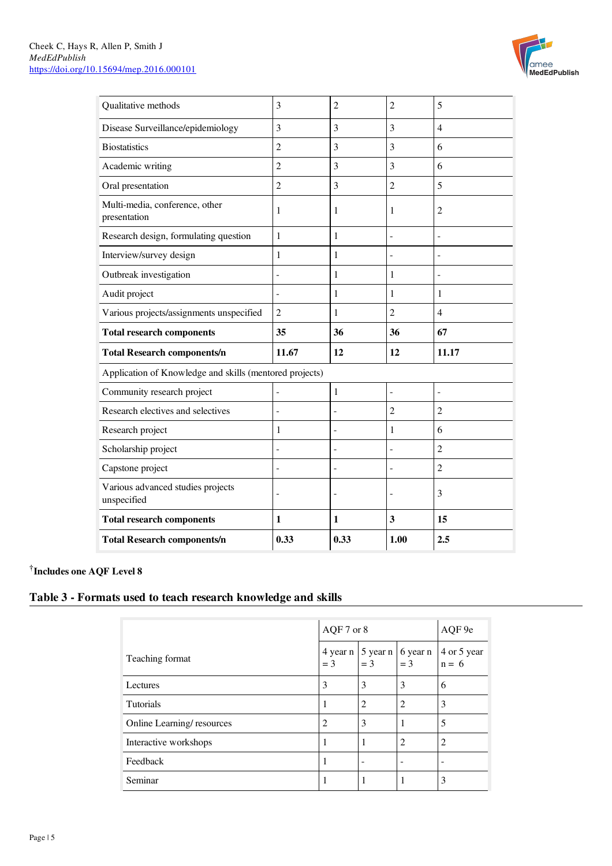

| Qualitative methods                                     | 3              | $\overline{2}$ | $\overline{2}$           | 5              |
|---------------------------------------------------------|----------------|----------------|--------------------------|----------------|
| Disease Surveillance/epidemiology                       | 3              | 3              | 3                        | $\overline{4}$ |
| <b>Biostatistics</b>                                    | $\overline{2}$ | 3              | 3                        | 6              |
| Academic writing                                        | $\overline{2}$ | 3              | 3                        | 6              |
| Oral presentation                                       | $\overline{2}$ | 3              | $\overline{2}$           | 5              |
| Multi-media, conference, other<br>presentation          | 1              | 1              | 1                        | 2              |
| Research design, formulating question                   | 1              | 1              |                          |                |
| Interview/survey design                                 | 1              | 1              | $\overline{\phantom{a}}$ |                |
| Outbreak investigation                                  |                | 1              | 1                        |                |
| Audit project                                           |                | 1              | 1                        | 1              |
| Various projects/assignments unspecified                | $\overline{2}$ | 1              | $\overline{2}$           | $\overline{4}$ |
|                                                         |                |                |                          |                |
| <b>Total research components</b>                        | 35             | 36             | 36                       | 67             |
| <b>Total Research components/n</b>                      | 11.67          | 12             | 12                       | 11.17          |
| Application of Knowledge and skills (mentored projects) |                |                |                          |                |
| Community research project                              | -              | 1              | $\overline{a}$           | $\overline{a}$ |
| Research electives and selectives                       | $\overline{a}$ |                | $\overline{2}$           | $\overline{2}$ |
| Research project                                        | 1              |                | 1                        | 6              |
| Scholarship project                                     | $\overline{a}$ | L.             | $\overline{a}$           | $\overline{2}$ |
| Capstone project                                        |                |                |                          | $\overline{2}$ |
| Various advanced studies projects<br>unspecified        |                |                |                          | 3              |
| <b>Total research components</b>                        | 1              | 1              | 3                        | 15             |

† Includes one AQF Level 8

# Table 3 - Formats used to teach research knowledge and skills

|                           | AQF 7 or 8 |                                  |                   | AQF 9e                 |
|---------------------------|------------|----------------------------------|-------------------|------------------------|
| Teaching format           | $=$ 3      | $4$ year n   5 year n  <br>$=$ 3 | 6 year n<br>$=$ 3 | 4 or 5 year<br>$n = 6$ |
| Lectures                  | 3          | 3                                | 3                 | 6                      |
| Tutorials                 |            | $\overline{c}$                   | 2                 | 3                      |
| Online Learning/resources | 2          | 3                                |                   | 5                      |
| Interactive workshops     |            |                                  | $\overline{c}$    | 2                      |
| Feedback                  |            |                                  |                   |                        |
| Seminar                   |            |                                  |                   | 3                      |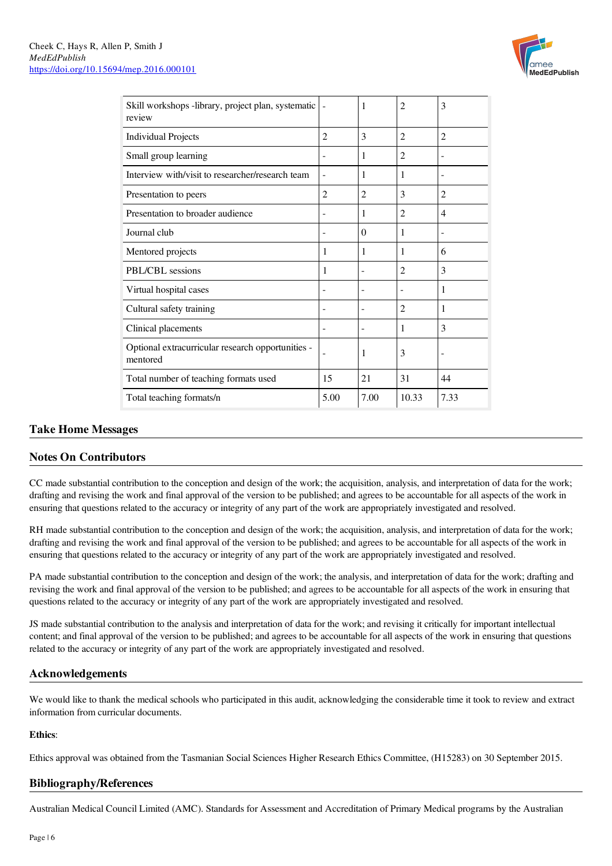

| Skill workshops -library, project plan, systematic<br>review  |                | 1              | $\overline{c}$ | 3              |
|---------------------------------------------------------------|----------------|----------------|----------------|----------------|
| <b>Individual Projects</b>                                    | 2              | 3              | $\overline{2}$ | $\overline{c}$ |
| Small group learning                                          |                | 1              | $\overline{2}$ |                |
| Interview with/visit to researcher/research team              |                | 1              | 1              | ۰              |
| Presentation to peers                                         | $\overline{c}$ | $\overline{2}$ | 3              | $\overline{c}$ |
| Presentation to broader audience                              |                | 1              | $\overline{c}$ | 4              |
| Journal club                                                  |                | $\Omega$       | 1              |                |
| Mentored projects                                             | 1              | 1              | 1              | 6              |
| PBL/CBL sessions                                              | 1              |                | $\overline{2}$ | 3              |
| Virtual hospital cases                                        |                |                |                | 1              |
| Cultural safety training                                      |                |                | $\overline{c}$ | 1              |
| Clinical placements                                           |                |                | 1              | 3              |
| Optional extracurricular research opportunities -<br>mentored |                | 1              | 3              |                |
| Total number of teaching formats used                         | 15             | 21             | 31             | 44             |
| Total teaching formats/n                                      | 5.00           | 7.00           | 10.33          | 7.33           |

# Take Home Messages

# Notes On Contributors

CC made substantial contribution to the conception and design of the work; the acquisition, analysis, and interpretation of data for the work; drafting and revising the work and final approval of the version to be published; and agrees to be accountable for all aspects of the work in ensuring that questions related to the accuracy or integrity of any part of the work are appropriately investigated and resolved.

RH made substantial contribution to the conception and design of the work; the acquisition, analysis, and interpretation of data for the work; drafting and revising the work and final approval of the version to be published; and agrees to be accountable for all aspects of the work in ensuring that questions related to the accuracy or integrity of any part of the work are appropriately investigated and resolved.

PA made substantial contribution to the conception and design of the work; the analysis, and interpretation of data for the work; drafting and revising the work and final approval of the version to be published; and agrees to be accountable for all aspects of the work in ensuring that questions related to the accuracy or integrity of any part of the work are appropriately investigated and resolved.

JS made substantial contribution to the analysis and interpretation of data for the work; and revising it critically for important intellectual content; and final approval of the version to be published; and agrees to be accountable for all aspects of the work in ensuring that questions related to the accuracy or integrity of any part of the work are appropriately investigated and resolved.

# Acknowledgements

We would like to thank the medical schools who participated in this audit, acknowledging the considerable time it took to review and extract information from curricular documents.

#### Ethics:

Ethics approval was obtained from the Tasmanian Social Sciences Higher Research Ethics Committee, (H15283) on 30 September 2015.

# Bibliography/References

Australian Medical Council Limited (AMC). Standards for Assessment and Accreditation of Primary Medical programs by the Australian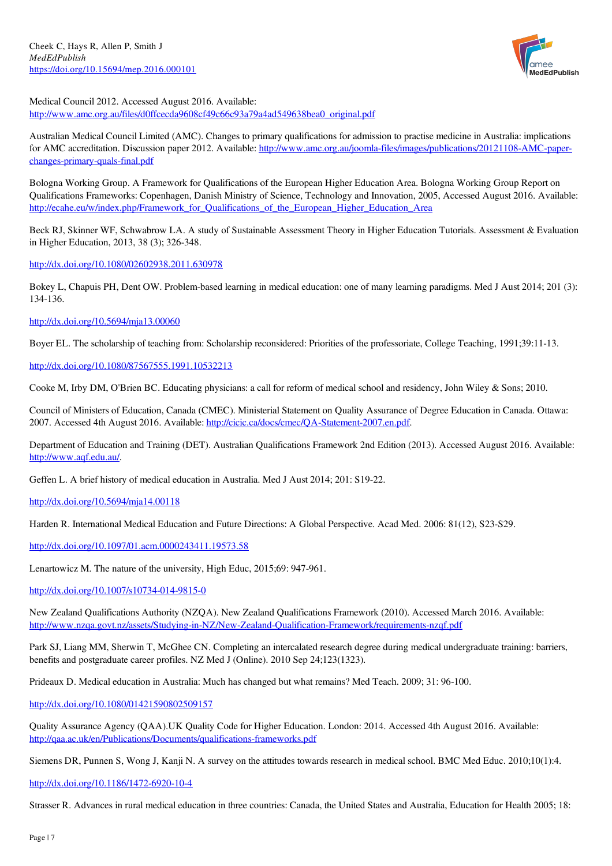

Medical Council 2012. Accessed August 2016. Available: [http://www.amc.org.au/files/d0ffcecda9608cf49c66c93a79a4ad549638bea0\\_original.pdf](http://www.amc.org.au/files/d0ffcecda9608cf49c66c93a79a4ad549638bea0_original.pdf)

Australian Medical Council Limited (AMC). Changes to primary qualifications for admission to practise medicine in Australia: implications for AMC accreditation. Discussion paper 2012. Available: [http://www.amc.org.au/joomla-files/images/publications/20121108-AMC-paper](http://www.amc.org.au/joomla-files/images/publications/20121108-AMC-paper-changes-primary-quals-final.pdf)changes-primary-quals-final.pdf

Bologna Working Group. A Framework for Qualifications of the European Higher Education Area. Bologna Working Group Report on Qualifications Frameworks: Copenhagen, Danish Ministry of Science, Technology and Innovation, 2005, Accessed August 2016. Available: [http://ecahe.eu/w/index.php/Framework\\_for\\_Qualifications\\_of\\_the\\_European\\_Higher\\_Education\\_Area](http://ecahe.eu/w/index.php/Framework_for_Qualifications_of_the_European_Higher_Education_Area)

Beck RJ, Skinner WF, Schwabrow LA. A study of Sustainable Assessment Theory in Higher Education Tutorials. Assessment & Evaluation in Higher Education, 2013, 38 (3); 326-348.

<http://dx.doi.org/10.1080/02602938.2011.630978>

Bokey L, Chapuis PH, Dent OW. Problem-based learning in medical education: one of many learning paradigms. Med J Aust 2014; 201 (3): 134-136.

#### <http://dx.doi.org/10.5694/mja13.00060>

Boyer EL. The scholarship of teaching from: Scholarship reconsidered: Priorities of the professoriate, College Teaching, 1991;39:11-13.

#### <http://dx.doi.org/10.1080/87567555.1991.10532213>

Cooke M, Irby DM, O'Brien BC. Educating physicians: a call for reform of medical school and residency, John Wiley & Sons; 2010.

Council of Ministers of Education, Canada (CMEC). Ministerial Statement on Quality Assurance of Degree Education in Canada. Ottawa: 2007. Accessed 4th August 2016. Available: <http://cicic.ca/docs/cmec/QA-Statement-2007.en.pdf>.

Department of Education and Training (DET). Australian Qualifications Framework 2nd Edition (2013). Accessed August 2016. Available: <http://www.aqf.edu.au/>.

Geffen L. A brief history of medical education in Australia. Med J Aust 2014; 201: S19-22.

<http://dx.doi.org/10.5694/mja14.00118>

Harden R. International Medical Education and Future Directions: A Global Perspective. Acad Med. 2006: 81(12), S23-S29.

<http://dx.doi.org/10.1097/01.acm.0000243411.19573.58>

Lenartowicz M. The nature of the university, High Educ, 2015;69: 947-961.

<http://dx.doi.org/10.1007/s10734-014-9815-0>

New Zealand Qualifications Authority (NZQA). New Zealand Qualifications Framework (2010). Accessed March 2016. Available: <http://www.nzqa.govt.nz/assets/Studying-in-NZ/New-Zealand-Qualification-Framework/requirements-nzqf.pdf>

Park SJ, Liang MM, Sherwin T, McGhee CN. Completing an intercalated research degree during medical undergraduate training: barriers, benefits and postgraduate career profiles. NZ Med J (Online). 2010 Sep 24;123(1323).

Prideaux D. Medical education in Australia: Much has changed but what remains? Med Teach. 2009; 31: 96-100.

<http://dx.doi.org/10.1080/01421590802509157>

Quality Assurance Agency (QAA).UK Quality Code for Higher Education. London: 2014. Accessed 4th August 2016. Available: <http://qaa.ac.uk/en/Publications/Documents/qualifications-frameworks.pdf>

Siemens DR, Punnen S, Wong J, Kanji N. A survey on the attitudes towards research in medical school. BMC Med Educ. 2010;10(1):4.

<http://dx.doi.org/10.1186/1472-6920-10-4>

Strasser R. Advances in rural medical education in three countries: Canada, the United States and Australia, Education for Health 2005; 18: